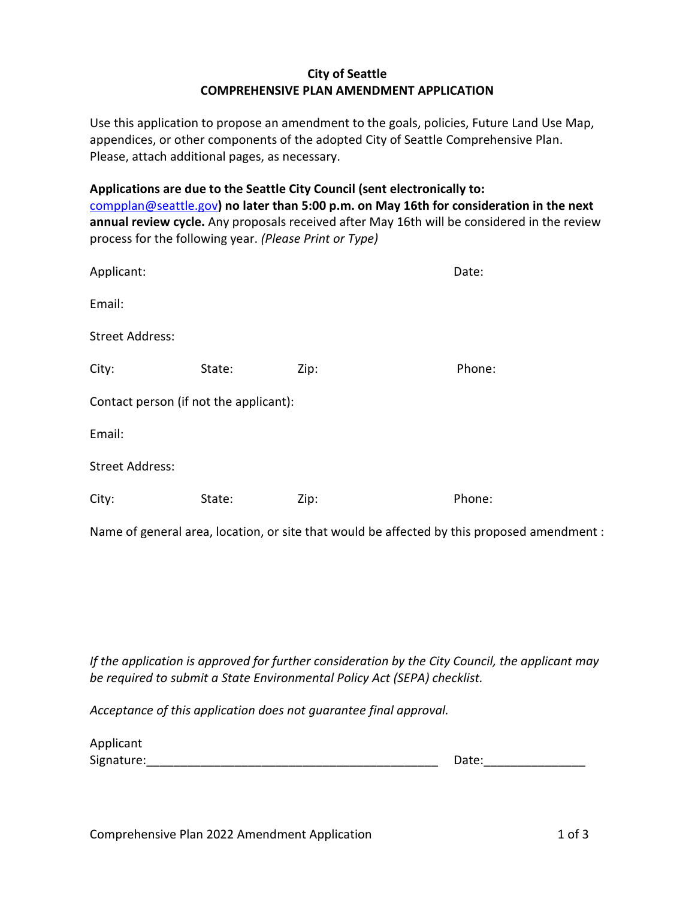## City of Seattle COMPREHENSIVE PLAN AMENDMENT APPLICATION

Use this application to propose an amendment to the goals, policies, Future Land Use Map, appendices, or other components of the adopted City of Seattle Comprehensive Plan. Please, attach additional pages, as necessary.

Applications are due to the Seattle City Council (sent electronically to: compplan@seattle.gov) no later than 5:00 p.m. on May 16th for consideration in the next annual review cycle. Any proposals received after May 16th will be considered in the review process for the following year. (Please Print or Type)

| Applicant:                             |        |      | Date:  |  |
|----------------------------------------|--------|------|--------|--|
| Email:                                 |        |      |        |  |
| <b>Street Address:</b>                 |        |      |        |  |
| City:                                  | State: | Zip: | Phone: |  |
| Contact person (if not the applicant): |        |      |        |  |
| Email:                                 |        |      |        |  |
| <b>Street Address:</b>                 |        |      |        |  |
| City:                                  | State: | Zip: | Phone: |  |

Name of general area, location, or site that would be affected by this proposed amendment :

If the application is approved for further consideration by the City Council, the applicant may be required to submit a State Environmental Policy Act (SEPA) checklist.

Acceptance of this application does not guarantee final approval.

| Applicant  |       |
|------------|-------|
| Signature: | Date: |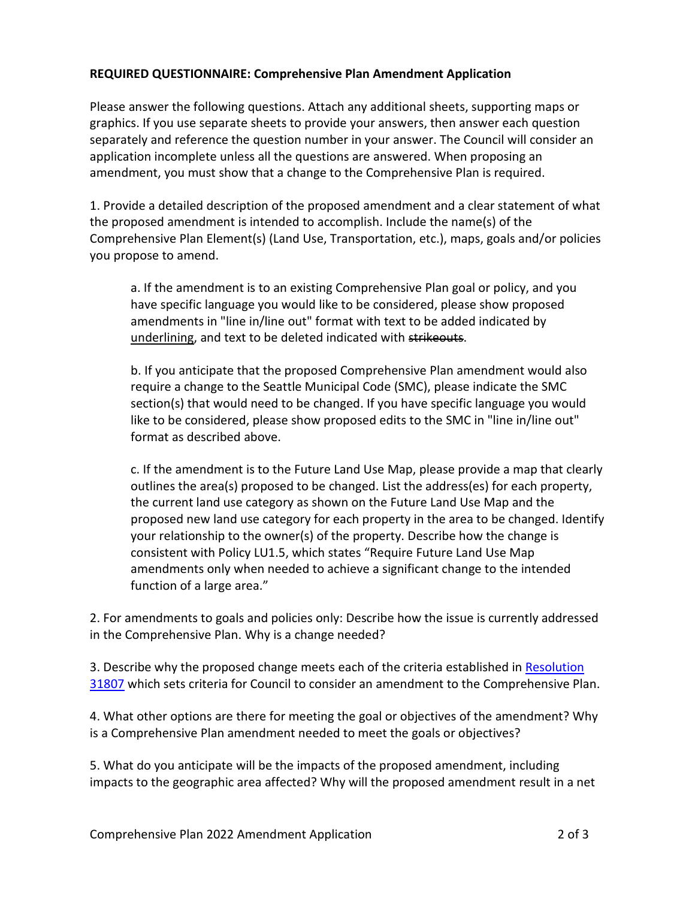## REQUIRED QUESTIONNAIRE: Comprehensive Plan Amendment Application

Please answer the following questions. Attach any additional sheets, supporting maps or graphics. If you use separate sheets to provide your answers, then answer each question separately and reference the question number in your answer. The Council will consider an application incomplete unless all the questions are answered. When proposing an amendment, you must show that a change to the Comprehensive Plan is required.

1. Provide a detailed description of the proposed amendment and a clear statement of what the proposed amendment is intended to accomplish. Include the name(s) of the Comprehensive Plan Element(s) (Land Use, Transportation, etc.), maps, goals and/or policies you propose to amend.

a. If the amendment is to an existing Comprehensive Plan goal or policy, and you have specific language you would like to be considered, please show proposed amendments in "line in/line out" format with text to be added indicated by underlining, and text to be deleted indicated with strikeouts.

b. If you anticipate that the proposed Comprehensive Plan amendment would also require a change to the Seattle Municipal Code (SMC), please indicate the SMC section(s) that would need to be changed. If you have specific language you would like to be considered, please show proposed edits to the SMC in "line in/line out" format as described above.

c. If the amendment is to the Future Land Use Map, please provide a map that clearly outlines the area(s) proposed to be changed. List the address(es) for each property, the current land use category as shown on the Future Land Use Map and the proposed new land use category for each property in the area to be changed. Identify your relationship to the owner(s) of the property. Describe how the change is consistent with Policy LU1.5, which states "Require Future Land Use Map amendments only when needed to achieve a significant change to the intended function of a large area."

2. For amendments to goals and policies only: Describe how the issue is currently addressed in the Comprehensive Plan. Why is a change needed?

3. Describe why the proposed change meets each of the criteria established in Resolution 31807 which sets criteria for Council to consider an amendment to the Comprehensive Plan.

4. What other options are there for meeting the goal or objectives of the amendment? Why is a Comprehensive Plan amendment needed to meet the goals or objectives?

5. What do you anticipate will be the impacts of the proposed amendment, including impacts to the geographic area affected? Why will the proposed amendment result in a net